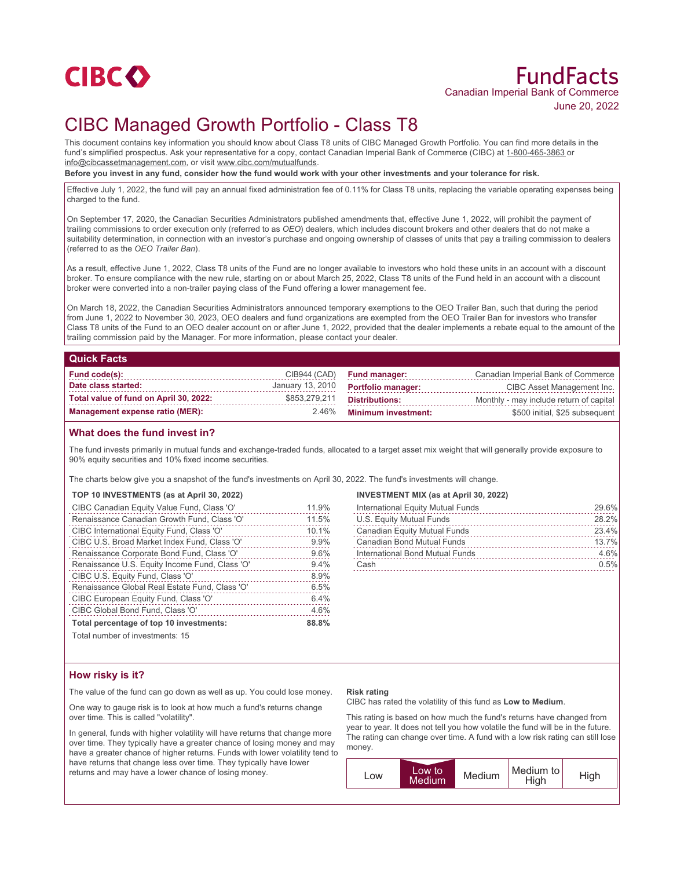

# FundFacts Canadian Imperial Bank of Commerce June 20, 2022

# CIBC Managed Growth Portfolio - Class T8

This document contains key information you should know about Class T8 units of CIBC Managed Growth Portfolio. You can find more details in the fund's simplified prospectus. Ask your representative for a copy, contact Canadian Imperial Bank of Commerce (CIBC) at 1-800-465-3863 or info@cibcassetmanagement.com, or visit www.cibc.com/mutualfunds.

**Before you invest in any fund, consider how the fund would work with your other investments and your tolerance for risk.**

Effective July 1, 2022, the fund will pay an annual fixed administration fee of 0.11% for Class T8 units, replacing the variable operating expenses being charged to the fund.

On September 17, 2020, the Canadian Securities Administrators published amendments that, effective June 1, 2022, will prohibit the payment of trailing commissions to order execution only (referred to as *OEO*) dealers, which includes discount brokers and other dealers that do not make a suitability determination, in connection with an investor's purchase and ongoing ownership of classes of units that pay a trailing commission to dealers (referred to as the *OEO Trailer Ban*).

As a result, effective June 1, 2022, Class T8 units of the Fund are no longer available to investors who hold these units in an account with a discount broker. To ensure compliance with the new rule, starting on or about March 25, 2022, Class T8 units of the Fund held in an account with a discount broker were converted into a non-trailer paying class of the Fund offering a lower management fee.

On March 18, 2022, the Canadian Securities Administrators announced temporary exemptions to the OEO Trailer Ban, such that during the period from June 1, 2022 to November 30, 2023, OEO dealers and fund organizations are exempted from the OEO Trailer Ban for investors who transfer Class T8 units of the Fund to an OEO dealer account on or after June 1, 2022, provided that the dealer implements a rebate equal to the amount of the trailing commission paid by the Manager. For more information, please contact your dealer.

### **Quick Facts**

| Fund code(s):                          |               | CIB944 (CAD) Fund manager:                 | Canadian Imperial Bank of Commerce      |
|----------------------------------------|---------------|--------------------------------------------|-----------------------------------------|
| Date class started:                    |               | January 13, 2010 <b>Portfolio manager:</b> | CIBC Asset Management Inc.              |
| Total value of fund on April 30, 2022: | \$853,279,211 | Distributions:                             | Monthly - may include return of capital |
| Management expense ratio (MER):        | 2.46%         | <b>Minimum investment:</b>                 | \$500 initial, \$25 subsequent          |

## **What does the fund invest in?**

The fund invests primarily in mutual funds and exchange-traded funds, allocated to a target asset mix weight that will generally provide exposure to 90% equity securities and 10% fixed income securities.

The charts below give you a snapshot of the fund's investments on April 30, 2022. The fund's investments will change.

#### **TOP 10 INVESTMENTS (as at April 30, 2022)**

| CIBC Canadian Equity Value Fund, Class 'O'     | 11.9% |
|------------------------------------------------|-------|
| Renaissance Canadian Growth Fund, Class 'O'    | 11.5% |
| CIBC International Equity Fund, Class 'O'      | 10.1% |
| CIBC U.S. Broad Market Index Fund, Class 'O'   | 9.9%  |
| Renaissance Corporate Bond Fund, Class 'O'     | 9.6%  |
| Renaissance U.S. Equity Income Fund, Class 'O' | 9.4%  |
| CIBC U.S. Equity Fund, Class 'O'               | 8.9%  |
| Renaissance Global Real Estate Fund, Class 'O' | 6.5%  |
| CIBC European Equity Fund, Class 'O'           | 6.4%  |
| CIBC Global Bond Fund, Class 'O'               | 4.6%  |
| Total percentage of top 10 investments:        | 88.8% |
|                                                |       |

Total number of investments: 15

#### **INVESTMENT MIX (as at April 30, 2022)**

| International Equity Mutual Funds   | 29.6% |
|-------------------------------------|-------|
| U.S. Equity Mutual Funds            | 28.2% |
| <b>Canadian Equity Mutual Funds</b> | 23.4% |
| Canadian Bond Mutual Funds          | 13.7% |
| International Bond Mutual Funds     | 4.6%  |
| Cash                                | 0.5%  |

## **How risky is it?**

The value of the fund can go down as well as up. You could lose money.

One way to gauge risk is to look at how much a fund's returns change over time. This is called "volatility".

In general, funds with higher volatility will have returns that change more over time. They typically have a greater chance of losing money and may have a greater chance of higher returns. Funds with lower volatility tend to have returns that change less over time. They typically have lower returns and may have a lower chance of losing money.

#### **Risk rating**

CIBC has rated the volatility of this fund as **Low to Medium**.

This rating is based on how much the fund's returns have changed from year to year. It does not tell you how volatile the fund will be in the future. The rating can change over time. A fund with a low risk rating can still lose money.

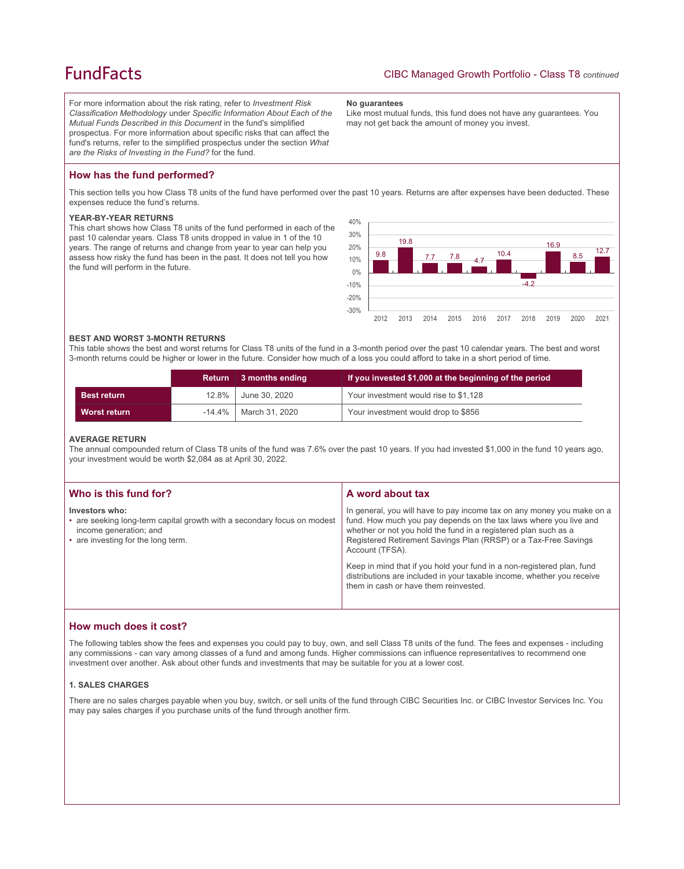## **FundFacts**

For more information about the risk rating, refer to *Investment Risk Classification Methodology* under *Specific Information About Each of the Mutual Funds Described in this Document* in the fund's simplified prospectus. For more information about specific risks that can affect the fund's returns, refer to the simplified prospectus under the section *What are the Risks of Investing in the Fund?* for the fund.

#### **No guarantees**

Like most mutual funds, this fund does not have any guarantees. You may not get back the amount of money you invest.

## **How has the fund performed?**

This section tells you how Class T8 units of the fund have performed over the past 10 years. Returns are after expenses have been deducted. These expenses reduce the fund's returns.

#### **YEAR-BY-YEAR RETURNS**

This chart shows how Class T8 units of the fund performed in each of the past 10 calendar years. Class T8 units dropped in value in 1 of the 10 years. The range of returns and change from year to year can help you assess how risky the fund has been in the past. It does not tell you how the fund will perform in the future.



#### **BEST AND WORST 3-MONTH RETURNS**

This table shows the best and worst returns for Class T8 units of the fund in a 3-month period over the past 10 calendar years. The best and worst 3-month returns could be higher or lower in the future. Consider how much of a loss you could afford to take in a short period of time.

|                     | <b>Return</b> | $\vert$ 3 months ending    | If you invested \$1,000 at the beginning of the period |
|---------------------|---------------|----------------------------|--------------------------------------------------------|
| <b>Best return</b>  |               | 12.8% June 30, 2020        | Your investment would rise to \$1,128                  |
| <b>Worst return</b> |               | $-14.4\%$   March 31, 2020 | Your investment would drop to \$856                    |

#### **AVERAGE RETURN**

The annual compounded return of Class T8 units of the fund was 7.6% over the past 10 years. If you had invested \$1,000 in the fund 10 years ago, your investment would be worth \$2,084 as at April 30, 2022.

| Who is this fund for?                                                                                                                                     | A word about tax                                                                                                                                                                                                                                                                                     |
|-----------------------------------------------------------------------------------------------------------------------------------------------------------|------------------------------------------------------------------------------------------------------------------------------------------------------------------------------------------------------------------------------------------------------------------------------------------------------|
| Investors who:<br>• are seeking long-term capital growth with a secondary focus on modest<br>income generation; and<br>• are investing for the long term. | In general, you will have to pay income tax on any money you make on a<br>fund. How much you pay depends on the tax laws where you live and<br>whether or not you hold the fund in a registered plan such as a<br>Registered Retirement Savings Plan (RRSP) or a Tax-Free Savings<br>Account (TFSA). |
|                                                                                                                                                           | Keep in mind that if you hold your fund in a non-registered plan, fund<br>distributions are included in your taxable income, whether you receive<br>them in cash or have them reinvested.                                                                                                            |

## **How much does it cost?**

The following tables show the fees and expenses you could pay to buy, own, and sell Class T8 units of the fund. The fees and expenses - including any commissions - can vary among classes of a fund and among funds. Higher commissions can influence representatives to recommend one investment over another. Ask about other funds and investments that may be suitable for you at a lower cost.

### **1. SALES CHARGES**

There are no sales charges payable when you buy, switch, or sell units of the fund through CIBC Securities Inc. or CIBC Investor Services Inc. You may pay sales charges if you purchase units of the fund through another firm.